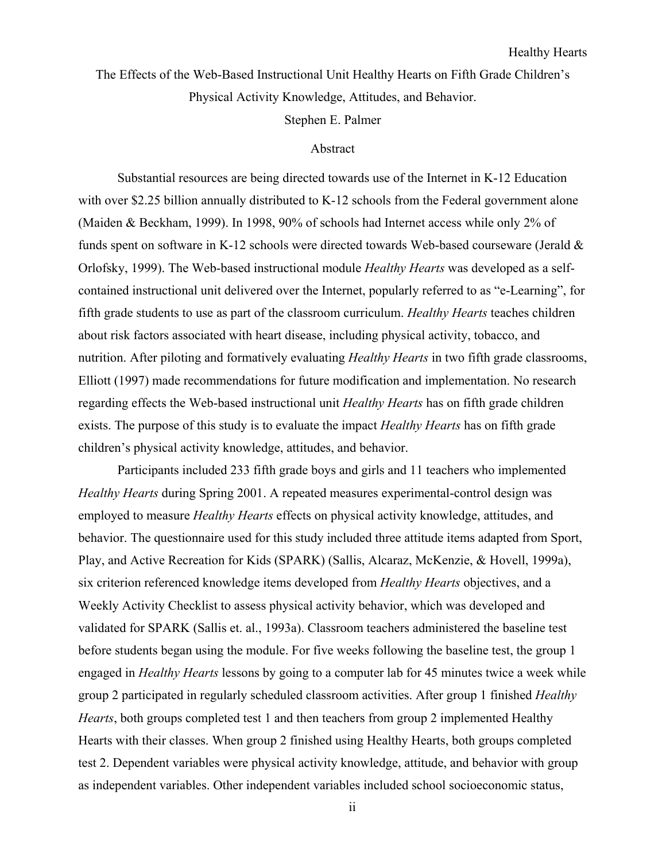The Effects of the Web-Based Instructional Unit Healthy Hearts on Fifth Grade Children's Physical Activity Knowledge, Attitudes, and Behavior.

Stephen E. Palmer

## Abstract

Substantial resources are being directed towards use of the Internet in K-12 Education with over \$2.25 billion annually distributed to K-12 schools from the Federal government alone (Maiden & Beckham, 1999). In 1998, 90% of schools had Internet access while only 2% of funds spent on software in K-12 schools were directed towards Web-based courseware (Jerald & Orlofsky, 1999). The Web-based instructional module *Healthy Hearts* was developed as a selfcontained instructional unit delivered over the Internet, popularly referred to as "e-Learning", for fifth grade students to use as part of the classroom curriculum. *Healthy Hearts* teaches children about risk factors associated with heart disease, including physical activity, tobacco, and nutrition. After piloting and formatively evaluating *Healthy Hearts* in two fifth grade classrooms, Elliott (1997) made recommendations for future modification and implementation. No research regarding effects the Web-based instructional unit *Healthy Hearts* has on fifth grade children exists. The purpose of this study is to evaluate the impact *Healthy Hearts* has on fifth grade children's physical activity knowledge, attitudes, and behavior.

Participants included 233 fifth grade boys and girls and 11 teachers who implemented *Healthy Hearts* during Spring 2001. A repeated measures experimental-control design was employed to measure *Healthy Hearts* effects on physical activity knowledge, attitudes, and behavior. The questionnaire used for this study included three attitude items adapted from Sport, Play, and Active Recreation for Kids (SPARK) (Sallis, Alcaraz, McKenzie, & Hovell, 1999a), six criterion referenced knowledge items developed from *Healthy Hearts* objectives, and a Weekly Activity Checklist to assess physical activity behavior, which was developed and validated for SPARK (Sallis et. al., 1993a). Classroom teachers administered the baseline test before students began using the module. For five weeks following the baseline test, the group 1 engaged in *Healthy Hearts* lessons by going to a computer lab for 45 minutes twice a week while group 2 participated in regularly scheduled classroom activities. After group 1 finished *Healthy Hearts*, both groups completed test 1 and then teachers from group 2 implemented Healthy Hearts with their classes. When group 2 finished using Healthy Hearts, both groups completed test 2. Dependent variables were physical activity knowledge, attitude, and behavior with group as independent variables. Other independent variables included school socioeconomic status,

ii